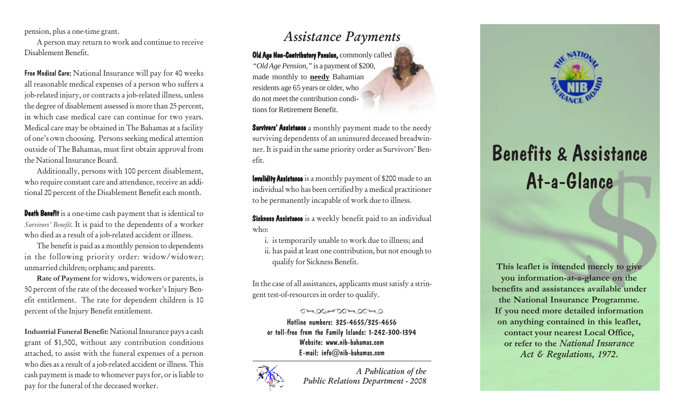pension, plus a one-time grant.

A person may return to work and continue to receive Disablement Benefit.

Free Medical Care: National Insurance will pay for 40 weeks all reasonable medical expenses of a person who suffers a job-related injury, or contracts a job-related illness, unless the degree of disablement assessed is more than 25 percent, in which case medical care can continue for two years. Medical care may be obtained in The Bahamas at a facility of one's own choosing. Persons seeking medical attention outside of The Bahamas, must first obtain approval from the National Insurance Board.

Additionally, persons with 100 percent disablement, who require constant care and attendance, receive an additional 20 percent of the Disablement Benefit each month.

Death Benefit is a one-time cash payment that is identical to *Survivors' Benefit*. It is paid to the dependents of a worker who died as a result of a job-related accident or illness.

The benefit is paid as a monthly pension to dependents in the following priority order: widow/widower; unmarried children; orphans; and parents.

**Rate of Payment** for widows, widowers or parents, is 50 percent of the rate of the deceased worker's Injury Benefit entitlement. The rate for dependent children is 10 percent of the Injury Benefit entitlement.

**Industrial Funeral Benefit:** National Insurance pays a cash grant of \$1,500, without any contribution conditions attached, to assist with the funeral expenses of a person who dies as a result of a job-related accident or illness. This cash payment is made to whomever pays for, or is liable to pay for the funeral of the deceased worker.

## *Assistance Payments*

Old Age Non-Contributory Pension, commonly called *"Old Age Pension,"* is a payment of \$200, made monthly to **needy** Bahamian residents age 65 years or older, who do not meet the contribution conditions for Retirement Benefit.

Survivors' Assistance a monthly payment made to the needy surviving dependents of an uninsured deceased breadwinner. It is paid in the same priority order as Survivors' Benefit.

Invalidity Assistance is a monthly payment of \$200 made to an individual who has been certified by a medical practitioner to be permanently incapable of work due to illness.

Sickness Assistance is a weekly benefit paid to an individual who:

i. is temporarily unable to work due to illness; and ii. has paid at least one contribution, but not enough to qualify for Sickness Benefit.

In the case of all assistances, applicants must satisfy a stringent test-of-resources in order to qualify.

## $\begin{picture}(180,10) \put(0,0){\line(1,0){100}} \put(10,0){\line(1,0){100}} \put(10,0){\line(1,0){100}} \put(10,0){\line(1,0){100}} \put(10,0){\line(1,0){100}} \put(10,0){\line(1,0){100}} \put(10,0){\line(1,0){100}} \put(10,0){\line(1,0){100}} \put(10,0){\line(1,0){100}} \put(10,0){\line(1,0){100}} \put(10,0){\line(1,0){100}}$

Hotline numbers: 325-4655/325-4656 or toll-free from the Family Islands: 1-242-300-1394 Website: www.nib-bahamas.com E-mail: info@nib-bahamas.com



*A Publication of the Public Relations Department - 2008*



**This leaflet is intended merely to give you information-at-a-glance on the benefits and assistances available under the National Insurance Programme. If you need more detailed information on anything contained in this leaflet, contact your nearest Local Office, or refer to the** *National Insurance Act & Regulations, 1972***.**